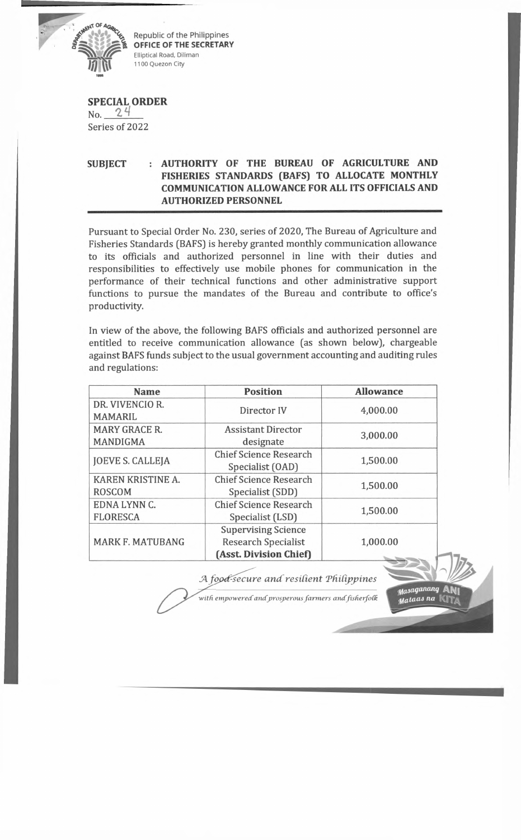

*c* Republic of the Philippines **OFFICE OF THE SECRETARY** Elliptical Road, Diliman 1100 Quezon City

## **SPECIAL ORDER**

 $No. 24$ Series of 2022

## **SUBJECT : AUTHORITY OF THE BUREAU OF AGRICULTURE AND FISHERIES STANDARDS (BAFS) TO ALLOCATE MONTHLY COMMUNICATION ALLOWANCE FOR ALL ITS OFFICIALS AND AUTHORIZED PERSONNEL**

Pursuant to Special Order No. 230, series of 2020, The Bureau of Agriculture and Fisheries Standards (BAFS) is hereby granted monthly communication allowance to its officials and authorized personnel in line with their duties and responsibilities to effectively use mobile phones for communication in the performance of their technical functions and other administrative support functions to pursue the mandates of the Bureau and contribute to office's productivity.

In view of the above, the following BAFS officials and authorized personnel are entitled to receive communication allowance (as shown below), chargeable against BAFS funds subject to the usual government accounting and auditing rules and regulations:

| <b>Name</b>                             | <b>Position</b>                                                                    | <b>Allowance</b> |
|-----------------------------------------|------------------------------------------------------------------------------------|------------------|
| DR. VIVENCIO R.<br><b>MAMARIL</b>       | Director IV                                                                        | 4,000.00         |
| <b>MARY GRACE R.</b><br><b>MANDIGMA</b> | <b>Assistant Director</b><br>designate                                             | 3,000.00         |
| <b>JOEVE S. CALLEJA</b>                 | <b>Chief Science Research</b><br>Specialist (OAD)                                  | 1,500.00         |
| KAREN KRISTINE A.<br><b>ROSCOM</b>      | <b>Chief Science Research</b><br>Specialist (SDD)                                  | 1,500.00         |
| EDNA LYNN C.<br><b>FLORESCA</b>         | <b>Chief Science Research</b><br>Specialist (LSD)                                  | 1,500.00         |
| <b>MARK F. MATUBANG</b>                 | <b>Supervising Science</b><br><b>Research Specialist</b><br>(Asst. Division Chief) | 1,000.00         |

**J4** *fopdfsecure a n d resident Tdidppines*

Masaganang Mataas na |

*with empowered andprosperous farm ers andfisherfoCk*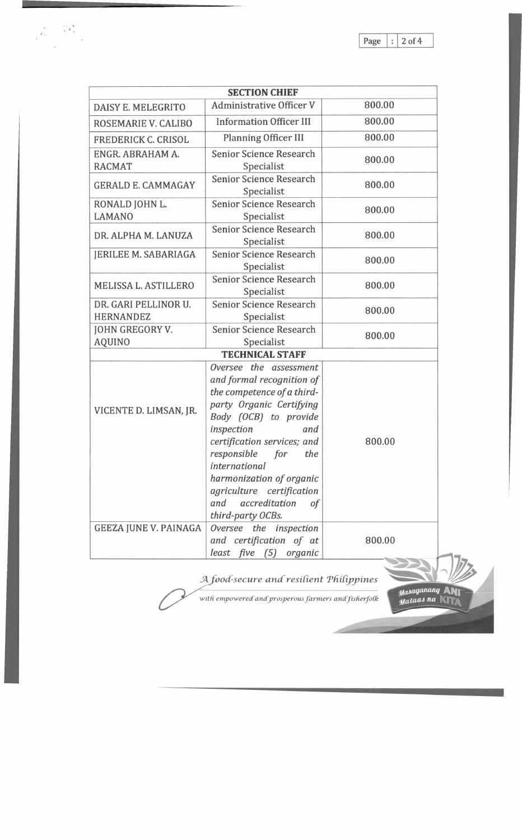*tfasaQaruul9* **ANi** *<i>Hataas* na  $\mathbb{U}$ 

 $-100$ 

|                                          | <b>SECTION CHIEF</b>                                                                                                                                                                                                                                                                                                                                     |        |
|------------------------------------------|----------------------------------------------------------------------------------------------------------------------------------------------------------------------------------------------------------------------------------------------------------------------------------------------------------------------------------------------------------|--------|
| DAISY E. MELEGRITO                       | <b>Administrative Officer V</b>                                                                                                                                                                                                                                                                                                                          | 800.00 |
| ROSEMARIE V. CALIBO                      | <b>Information Officer III</b>                                                                                                                                                                                                                                                                                                                           | 800.00 |
| FREDERICK C. CRISOL                      | Planning Officer III                                                                                                                                                                                                                                                                                                                                     | 800.00 |
| ENGR. ABRAHAM A.<br><b>RACMAT</b>        | Senior Science Research<br>Specialist                                                                                                                                                                                                                                                                                                                    | 800.00 |
| <b>GERALD E. CAMMAGAY</b>                | <b>Senior Science Research</b><br>Specialist                                                                                                                                                                                                                                                                                                             | 800.00 |
| RONALD JOHN L.<br><b>LAMANO</b>          | <b>Senior Science Research</b><br>Specialist                                                                                                                                                                                                                                                                                                             | 800.00 |
| DR. ALPHA M. LANUZA                      | <b>Senior Science Research</b><br>Specialist                                                                                                                                                                                                                                                                                                             | 800.00 |
| JERILEE M. SABARIAGA                     | <b>Senior Science Research</b><br>Specialist                                                                                                                                                                                                                                                                                                             | 800.00 |
| MELISSA L. ASTILLERO                     | Senior Science Research<br>Specialist                                                                                                                                                                                                                                                                                                                    | 800.00 |
| DR. GARI PELLINOR U.<br><b>HERNANDEZ</b> | <b>Senior Science Research</b><br>Specialist                                                                                                                                                                                                                                                                                                             | 800.00 |
| JOHN GREGORY V.<br><b>AQUINO</b>         | Senior Science Research<br>Specialist                                                                                                                                                                                                                                                                                                                    | 800.00 |
|                                          | <b>TECHNICAL STAFF</b>                                                                                                                                                                                                                                                                                                                                   |        |
| VICENTE D. LIMSAN, JR.                   | Oversee the assessment<br>and formal recognition of<br>the competence of a third-<br>party Organic Certifying<br>Body (OCB) to provide<br>inspection<br>and<br>certification services; and<br>responsible<br>for<br>the<br><i>international</i><br>harmonization of organic<br>agriculture certification<br>and accreditation<br>of<br>third-party OCBs. | 800.00 |
| <b>GEEZA JUNE V. PAINAGA</b>             | Oversee the inspection<br>and certification of at<br>least five (5) organic                                                                                                                                                                                                                                                                              | 800.00 |

 $A$  *food-secure and resilient Philippines* 

with empowered and prosperous farmers and fisherfolk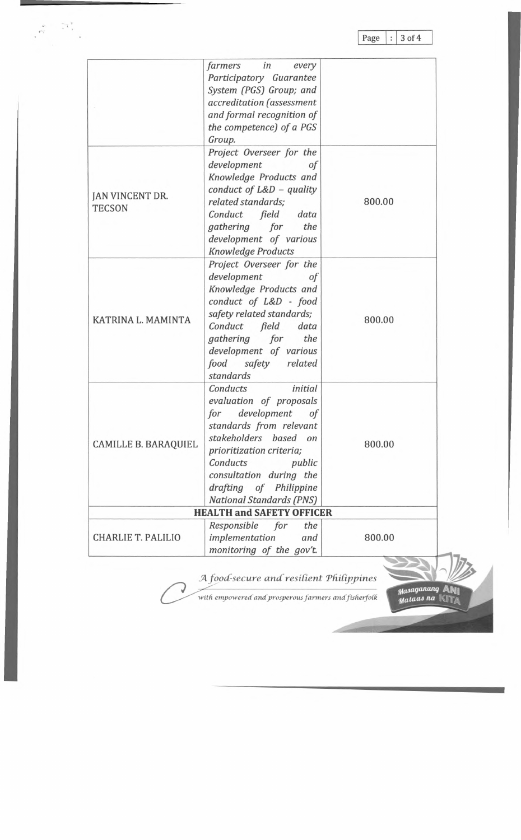**Page 3 of 4**

mataas na KI<sub>TA</sub>

|                                  | in<br>farmers<br>every<br>Participatory Guarantee<br>System (PGS) Group; and<br>accreditation (assessment<br>and formal recognition of<br>the competence) of a PGS<br>Group.                                                                                             |        |
|----------------------------------|--------------------------------------------------------------------------------------------------------------------------------------------------------------------------------------------------------------------------------------------------------------------------|--------|
| JAN VINCENT DR.<br><b>TECSON</b> | Project Overseer for the<br>development<br>0f<br>Knowledge Products and<br>conduct of $L&D$ - quality<br>related standards;<br>Conduct field data<br>gathering for<br>the<br>development of various<br>Knowledge Products                                                | 800.00 |
| KATRINA L. MAMINTA               | Project Overseer for the<br>development<br>οf<br>Knowledge Products and<br>conduct of L&D - food<br>safety related standards;<br>Conduct field<br>data<br>gathering for<br>the<br>development of various<br>food safety related<br>standards                             | 800.00 |
| <b>CAMILLE B. BARAQUIEL</b>      | Conducts<br>initial<br>evaluation of proposals<br>development<br>for<br>of<br>standards from relevant<br>stakeholders based on<br>prioritization criteria;<br>Conducts<br>public<br>consultation during the<br>drafting of Philippine<br><b>National Standards (PNS)</b> | 800.00 |
|                                  | <b>HEALTH and SAFETY OFFICER</b>                                                                                                                                                                                                                                         |        |
| <b>CHARLIE T. PALILIO</b>        | Responsible for<br>the<br>implementation<br>and<br>monitoring of the gov't.                                                                                                                                                                                              | 800.00 |

with empowered and prosperous farmers and fisherfolk

 $\left($